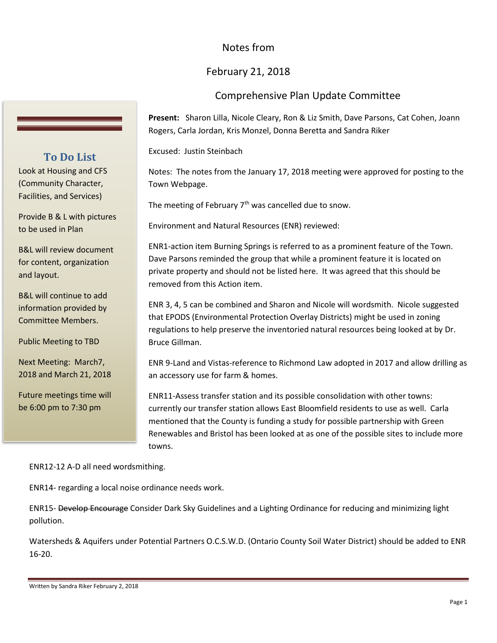## Notes from

## February 21, 2018

## Comprehensive Plan Update Committee

**Present:** Sharon Lilla, Nicole Cleary, Ron & Liz Smith, Dave Parsons, Cat Cohen, Joann Rogers, Carla Jordan, Kris Monzel, Donna Beretta and Sandra Riker

Excused: Justin Steinbach

Notes: The notes from the January 17, 2018 meeting were approved for posting to the Town Webpage.

The meeting of February  $7<sup>th</sup>$  was cancelled due to snow.

Environment and Natural Resources (ENR) reviewed:

ENR1-action item Burning Springs is referred to as a prominent feature of the Town. Dave Parsons reminded the group that while a prominent feature it is located on private property and should not be listed here. It was agreed that this should be removed from this Action item.

ENR 3, 4, 5 can be combined and Sharon and Nicole will wordsmith. Nicole suggested that EPODS (Environmental Protection Overlay Districts) might be used in zoning regulations to help preserve the inventoried natural resources being looked at by Dr. Bruce Gillman.

ENR 9-Land and Vistas-reference to Richmond Law adopted in 2017 and allow drilling as an accessory use for farm & homes.

ENR11-Assess transfer station and its possible consolidation with other towns: currently our transfer station allows East Bloomfield residents to use as well. Carla mentioned that the County is funding a study for possible partnership with Green Renewables and Bristol has been looked at as one of the possible sites to include more towns.

ENR12-12 A-D all need wordsmithing.

ENR14- regarding a local noise ordinance needs work.

ENR15- Develop Encourage Consider Dark Sky Guidelines and a Lighting Ordinance for reducing and minimizing light pollution.

Watersheds & Aquifers under Potential Partners O.C.S.W.D. (Ontario County Soil Water District) should be added to ENR 16-20.

Written by Sandra Riker February 2, 2018

## **To Do List**

Look at Housing and CFS (Community Character, Facilities, and Services)

Provide B & L with pictures to be used in Plan

B&L will review document for content, organization and layout.

B&L will continue to add information provided by Committee Members.

Public Meeting to TBD

Next Meeting: March7, 2018 and March 21, 2018

Future meetings time will be 6:00 pm to 7:30 pm